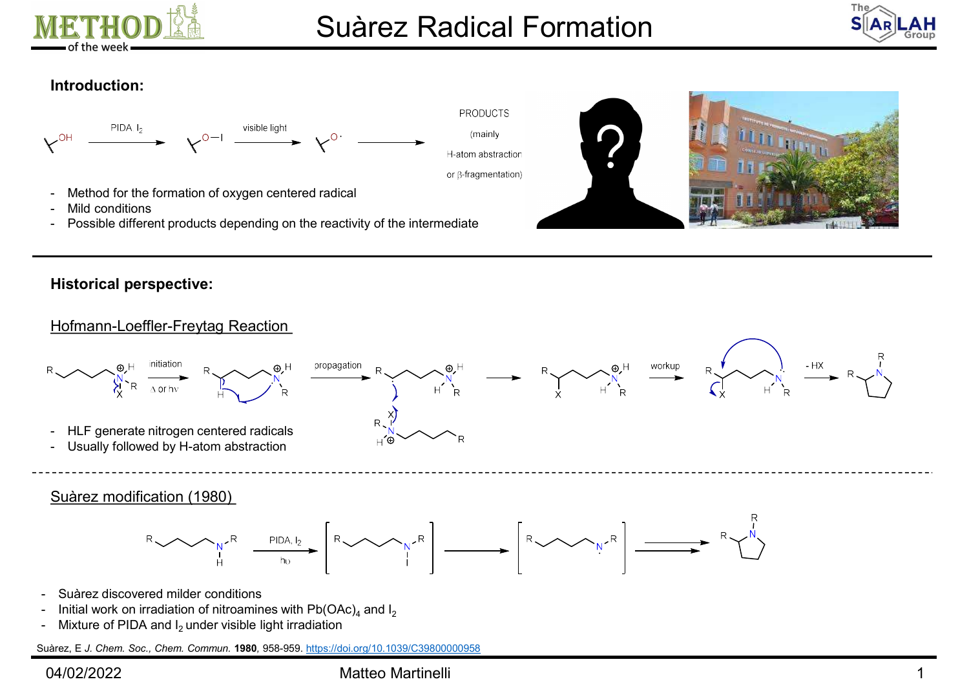



# Introduction:



# Historical perspective:

# Only  $R_{\text{A}}$  and the matter of the method of nitrodness in the season of the season of the season of the season of the season of the season of the season of the season of the season of the season of the season of the se Hofmann-Loeffler-Freytag Reaction - Mild conditions<br>
- Possible different products depending on the reactivity of the intermediate<br>
Historical perspective:<br>
Historical perspective:<br>
Historical perspective:<br>  $\frac{1}{\sqrt{N}}$ <br>
- HLF generate nitrogen centered r - Method for the formation of oxygen centered radical<br>
- Mild conditions<br>
- Possible different products depending on the reactivity of the intermediate<br>
Historical perspective:<br>
Historical perspective:<br>  $\begin{array}{ccc}\n\text{Historical perspective:$ Althology of the formation of oxygen centered radical<br>
- Mild conditions<br>
- Possible different products depending on the reactivity of the intermediate<br>
Historical perspective:<br>
Historical perspective:<br>
Historical perspect Hofmann-Loeffler-Freytag Reaction<br>  $R$ <br>  $\frac{Q}{N}$ <br>  $\frac{Q}{N}$ <br>  $\frac{Q}{N}$ <br>  $\frac{Q}{N}$ <br>  $\frac{Q}{N}$ <br>  $\frac{Q}{N}$ <br>  $\frac{Q}{N}$ <br>  $\frac{Q}{N}$ <br>  $\frac{Q}{N}$ <br>  $\frac{Q}{N}$ <br>  $\frac{Q}{N}$ <br>  $\frac{Q}{N}$ <br>  $\frac{Q}{N}$ <br>  $\frac{Q}{N}$ <br>  $\frac{Q}{N}$ <br>  $\frac{Q}{N}$ <br>  $\frac{Q$ P<br>  $\begin{CD} \n\frac{\partial u}{\partial x} H & \frac{\partial u}{\partial x} H \frac{\partial u}{\partial x} H \frac{\partial u}{\partial x} H \frac{\partial u}{\partial x} H \frac{\partial u}{\partial x} H \frac{\partial u}{\partial x} H \frac{\partial u}{\partial x} H \frac{\partial u}{\partial x} H \frac{\partial u}{\partial x} H \frac{\partial u}{\partial x} H \frac{\partial u}{\partial x} H \frac{\partial u}{\partial x} H \frac{\partial u}{\partial x} H \frac{\partial u}{\partial x} H \frac{\partial u}{\partial x} H \frac{\partial u}{\partial x} H \frac{\partial u}{\partial x} H \frac{\partial u}{\partial x} H$ Fraction<br>  $R$ <br>  $\begin{matrix}\n\downarrow^{A} & \downarrow^{B} \\
\downarrow^{B} & \downarrow^{C} \\
\downarrow^{C}\n\end{matrix}$ <br>  $\begin{matrix}\n\downarrow^{C}\n\downarrow^{D} & \downarrow^{D}\n\downarrow^{D}\n\downarrow^{E}\n\downarrow^{E}\n\downarrow^{E}\n\downarrow^{E}\n\downarrow^{E}\n\downarrow^{E}\n\downarrow^{E}\n\downarrow^{E}\n\downarrow^{E}\n\downarrow^{E}\n\downarrow^{E}\n\downarrow^{E}\n\downarrow^{E}\n\downarrow^{E}\n\downarrow^{E}\n\downarrow^{E}\n\downarrow^{E}\n\down$

- 
- Initial work on irradiation of nitroamines with  $Pb(OAc)$ <sub>4</sub> and  $I_2$
- 

Suàrez, E J. Chem. Soc., Chem. Commun. 1980, 958-959. https://doi.org/10.1039/C39800000958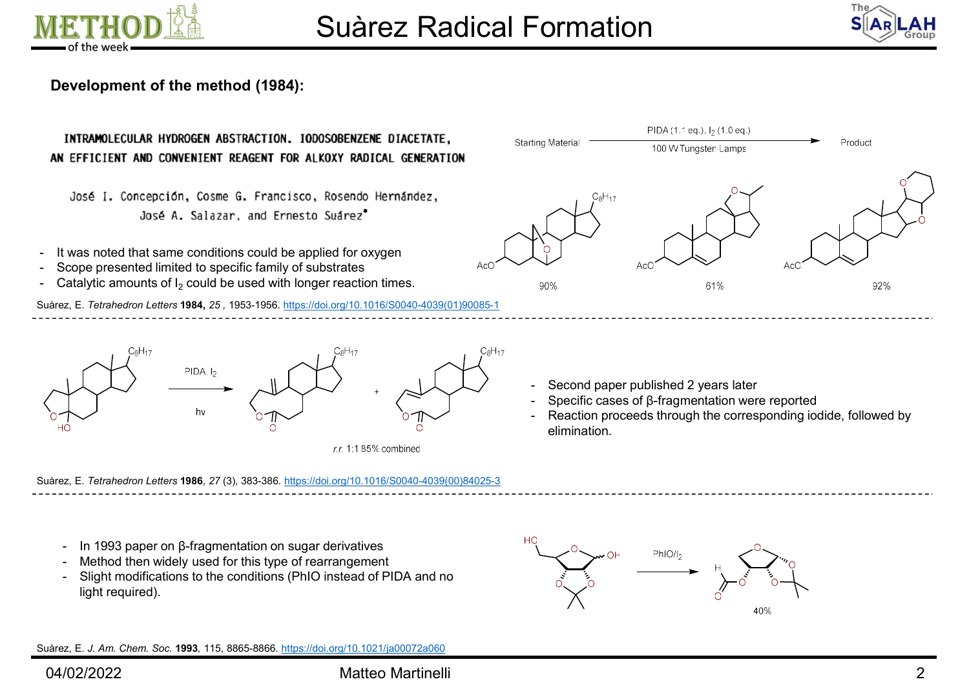



## Development of the method (1984):

# **SUATEZ RADICAL FOR SUATEL SUARE SET AND SUARE SUARE SUARE SUARE SUARE DIAGETATE,<br>
INTRAMOLECULAR HYDROGEN ABSTRACTION. IODOSOBENZENE DIAGETATE,<br>
AN EFFICIENT AND CONVENIENT REAGENT FOR ALKOXY RADICAL GENERATION<br>
José 1.**

**SUATEZER**<br> **SUATEZER**<br> **SUATEZER**<br> **CONSIGNATES ON A STRACTION. IODOSOBENZENE DIACETA<br>
<b>AN EFFICIENT AND CONVENIENT REAGENT FOR ALKOXY RADICAL GENER<br>
JOSÉ I. CONCEPCIÓN, COSTE G. Francisco, Rosendo Hernández<br>
JOSÉ A. Sal** 

- 
- 
- Catalytic amounts of  $I_2$  could be used with longer reaction times.

Suàrez, E. Tetrahedron Letters 1984, 25 , 1953-1956. https://doi.org/10.1016/S0040-4039(01)90085-1





- 
- 
- elimination.

Suàrez, E. Tetrahedron Letters 1986, 27 (3), 383-386. https://doi.org/10.1016/S0040-4039(00)84025-3

- 
- 
- light required).

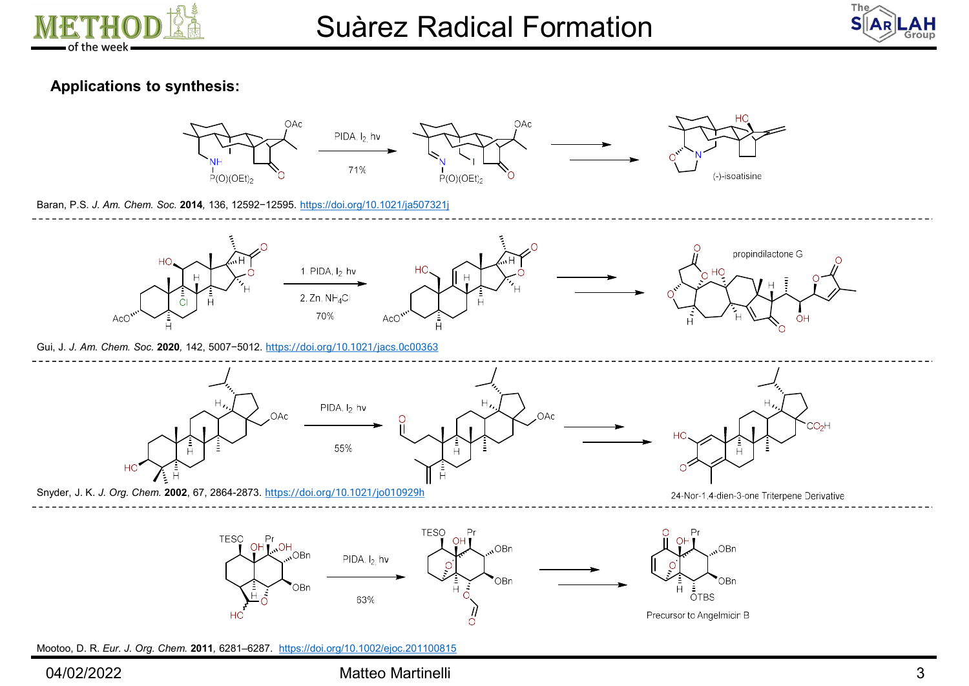



## Applications to synthesis:



Mootoo, D. R. Eur. J. Org. Chem. 2011, 6281–6287. https://doi.org/10.1002/ejoc.201100815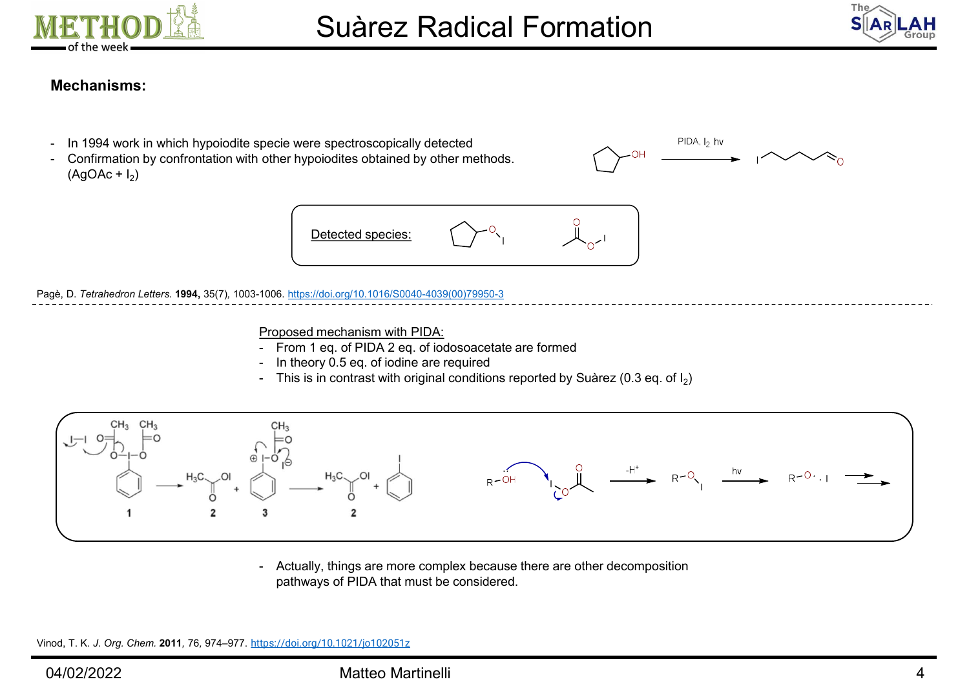



## Mechanisms:

- 
- **IETHOD A**<br> **IN THOD A**<br> **I** of the week<br> **IN 1994 work in which hypoiodite specie were spectroscopically detected<br>
<b>IN 1994 work in which hypoiodite specie were spectroscopically detected<br>
Confirmation by confrontati IETHOD**<br>
of the week<br>
Mechanisms:<br>
- In 1994 work in which hypoiodite specie were spectroscopically detected<br>
- Confirmation by confrontation with other hypoiodites obtained by other methods. **ETHOD Agon Contains Suàrez Radic**<br> **Suàrez Radic**<br> **Examples Suàrez Radic**<br> **Examples Suàrez Radic**<br> **Examples Suàrez Radic**<br> **Examples Suàrez Radic**<br> **Examples Suàrez Radic**<br> **Examples AgoAc + I<sub>2</sub>)**<br> **Examples AgoAc** ) and the set of  $\overline{a}$





Pagè, D. Tetrahedron Letters. 1994, 35(7), 1003-1006. https://doi.org/10.1016/S0040-4039(00)79950-3

- Proposed mechanism with PIDA:<br>- From 1 eq. of PIDA 2 eq. of iodosoacetate are formed
- 
- ) and the set of  $\overline{a}$



pathways of PIDA that must be considered.

Vinod, T. K. J. Org. Chem. 2011, 76, 974–977. https://doi.org/10.1021/jo102051z